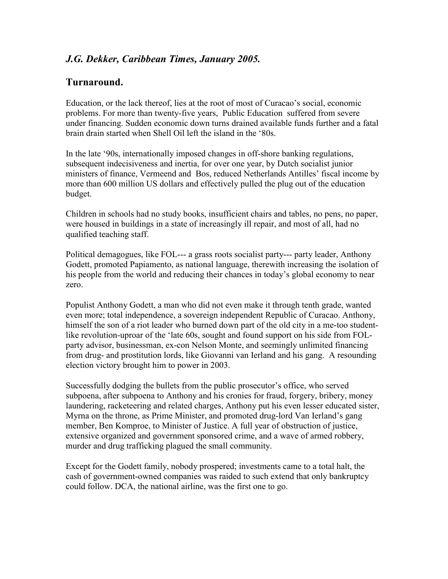## *J.G. Dekker, Caribbean Times, January 2005.*

## **Turnaround.**

Education, or the lack thereof, lies at the root of most of Curacao's social, economic problems. For more than twenty-five years, Public Education suffered from severe under financing. Sudden economic down turns drained available funds further and a fatal brain drain started when Shell Oil left the island in the '80s.

In the late '90s, internationally imposed changes in off-shore banking regulations, subsequent indecisiveness and inertia, for over one year, by Dutch socialist junior ministers of finance, Vermeend and Bos, reduced Netherlands Antilles' fiscal income by more than 600 million US dollars and effectively pulled the plug out of the education budget.

Children in schools had no study books, insufficient chairs and tables, no pens, no paper, were housed in buildings in a state of increasingly ill repair, and most of all, had no qualified teaching staff.

Political demagogues, like FOL--- a grass roots socialist party--- party leader, Anthony Godett, promoted Papiamento, as national language, therewith increasing the isolation of his people from the world and reducing their chances in today's global economy to near zero.

Populist Anthony Godett, a man who did not even make it through tenth grade, wanted even more; total independence, a sovereign independent Republic of Curacao. Anthony, himself the son of a riot leader who burned down part of the old city in a me-too studentlike revolution-uproar of the 'late 60s, sought and found support on his side from FOLparty advisor, businessman, ex-con Nelson Monte, and seemingly unlimited financing from drug- and prostitution lords, like Giovanni van Ierland and his gang. A resounding election victory brought him to power in 2003.

Successfully dodging the bullets from the public prosecutor's office, who served subpoena, after subpoena to Anthony and his cronies for fraud, forgery, bribery, money laundering, racketeering and related charges, Anthony put his even lesser educated sister, Myrna on the throne, as Prime Minister, and promoted drug-lord Van Ierland's gang member, Ben Komproe, to Minister of Justice. A full year of obstruction of justice, extensive organized and government sponsored crime, and a wave of armed robbery, murder and drug trafficking plagued the small community.

Except for the Godett family, nobody prospered; investments came to a total halt, the cash of government-owned companies was raided to such extend that only bankruptcy could follow. DCA, the national airline, was the first one to go.